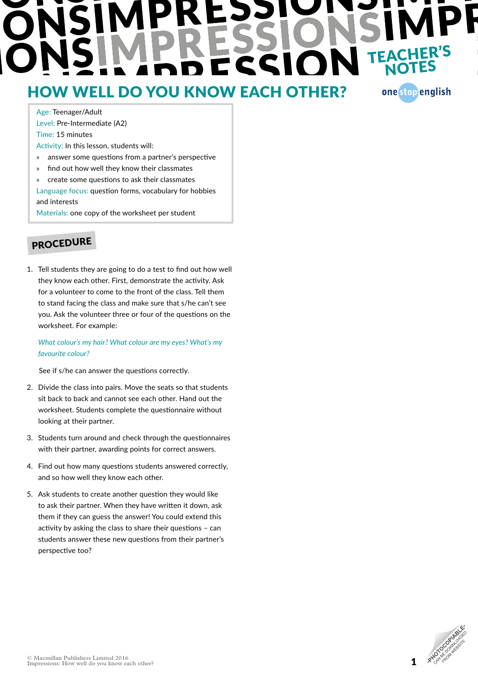# TEACHER'S<br>NOTES

### HOW WELL DO YOU KNOW EACH OTHER?

one stop english

Age: Teenager/Adult Level: Pre-Intermediate (A2) Time: 15 minutes Activity: In this lesson, students will:

- » answer some questions from a partner's perspective
- » find out how well they know their classmates
- » create some questions to ask their classmates Language focus: question forms, vocabulary for hobbies

and interests

Materials: one copy of the worksheet per student

### PROCEDURE

1. Tell students they are going to do a test to find out how well they know each other. First, demonstrate the activity. Ask for a volunteer to come to the front of the class. Tell them to stand facing the class and make sure that s/he can't see you. Ask the volunteer three or four of the questions on the worksheet. For example:

*What colour's my hair? What colour are my eyes? What's my favourite colour?*

See if s/he can answer the questions correctly.

- 2. Divide the class into pairs. Move the seats so that students sit back to back and cannot see each other. Hand out the worksheet. Students complete the questionnaire without looking at their partner.
- 3. Students turn around and check through the questionnaires with their partner, awarding points for correct answers.
- 4. Find out how many questions students answered correctly, and so how well they know each other.
- 5. Ask students to create another question they would like to ask their partner. When they have written it down, ask them if they can guess the answer! You could extend this activity by asking the class to share their questions – can students answer these new questions from their partner's perspective too?